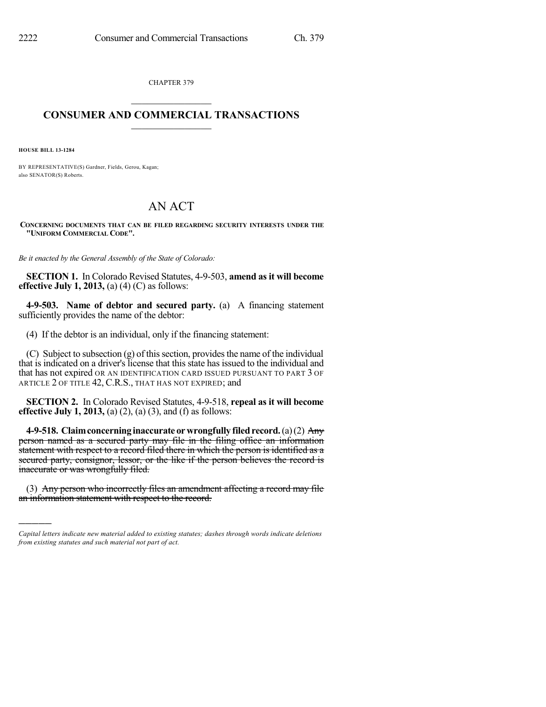CHAPTER 379  $\overline{\phantom{a}}$  . The set of the set of the set of the set of the set of the set of the set of the set of the set of the set of the set of the set of the set of the set of the set of the set of the set of the set of the set o

## **CONSUMER AND COMMERCIAL TRANSACTIONS**  $\frac{1}{2}$  ,  $\frac{1}{2}$  ,  $\frac{1}{2}$  ,  $\frac{1}{2}$  ,  $\frac{1}{2}$  ,  $\frac{1}{2}$

**HOUSE BILL 13-1284**

)))))

BY REPRESENTATIVE(S) Gardner, Fields, Gerou, Kagan; also SENATOR(S) Roberts.

## AN ACT

**CONCERNING DOCUMENTS THAT CAN BE FILED REGARDING SECURITY INTERESTS UNDER THE "UNIFORM COMMERCIAL CODE".**

*Be it enacted by the General Assembly of the State of Colorado:*

**SECTION 1.** In Colorado Revised Statutes, 4-9-503, **amend as it will become effective July 1, 2013,** (a) (4) (C) as follows:

**4-9-503. Name of debtor and secured party.** (a) A financing statement sufficiently provides the name of the debtor:

(4) If the debtor is an individual, only if the financing statement:

(C) Subject to subsection  $(g)$  of this section, provides the name of the individual that is indicated on a driver's license that this state has issued to the individual and that has not expired OR AN IDENTIFICATION CARD ISSUED PURSUANT TO PART 3 OF ARTICLE 2 OF TITLE 42, C.R.S., THAT HAS NOT EXPIRED; and

**SECTION 2.** In Colorado Revised Statutes, 4-9-518, **repeal as it will become effective July 1, 2013,** (a) (2), (a) (3), and (f) as follows:

**4-9-518. Claimconcerninginaccurate orwrongfully filedrecord.**(a)(2) Any person named as a secured party may file in the filing office an information statement with respect to a record filed there in which the person is identified as a secured party, consignor, lessor, or the like if the person believes the record is inaccurate or was wrongfully filed.

(3) Any person who incorrectly files an amendment affecting a record may file an information statement with respect to the record.

*Capital letters indicate new material added to existing statutes; dashes through words indicate deletions from existing statutes and such material not part of act.*